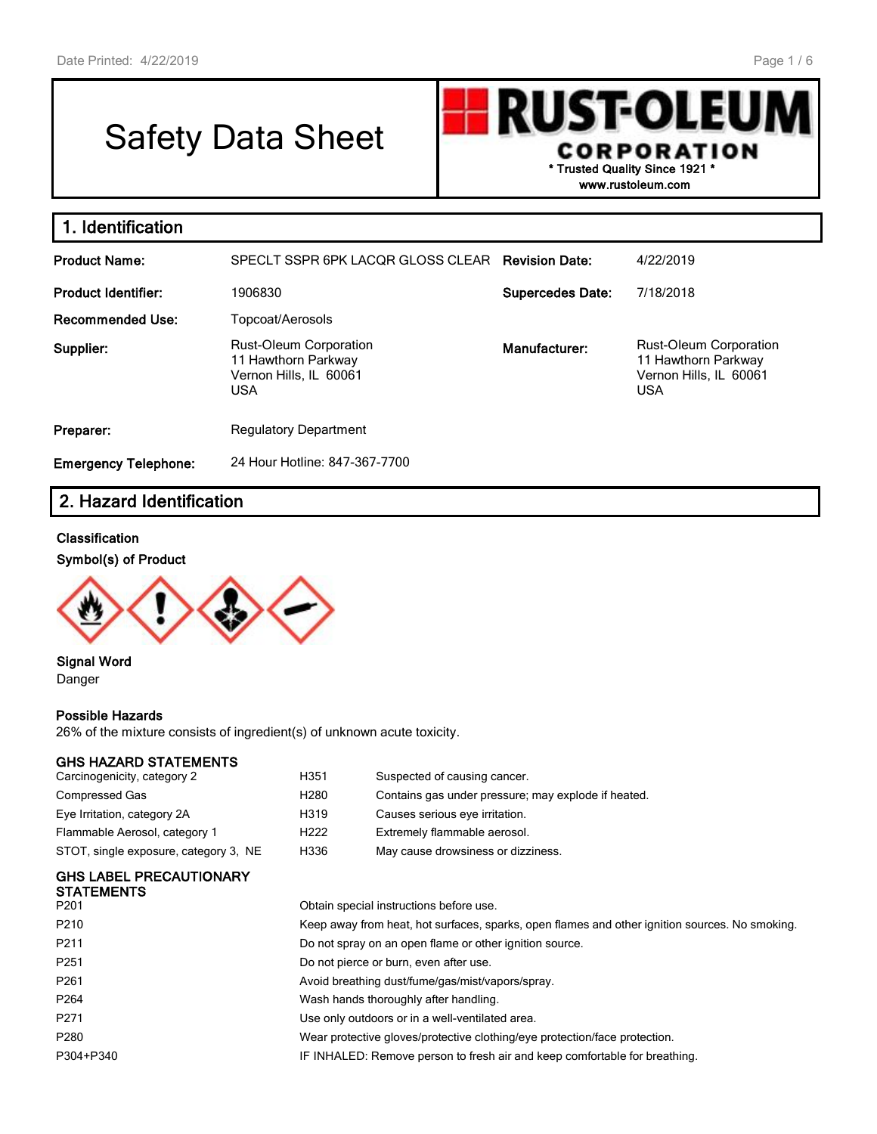# Safety Data Sheet

**RUST-OLEU** CORPORATION **\* Trusted Quality Since 1921 \* www.rustoleum.com**

| 1. Identification           |                                                                                              |                         |                                                                                       |
|-----------------------------|----------------------------------------------------------------------------------------------|-------------------------|---------------------------------------------------------------------------------------|
| <b>Product Name:</b>        | SPECLT SSPR 6PK LACQR GLOSS CLEAR Revision Date:                                             |                         | 4/22/2019                                                                             |
| <b>Product Identifier:</b>  | 1906830                                                                                      | <b>Supercedes Date:</b> | 7/18/2018                                                                             |
| <b>Recommended Use:</b>     | Topcoat/Aerosols                                                                             |                         |                                                                                       |
| Supplier:                   | <b>Rust-Oleum Corporation</b><br>11 Hawthorn Parkway<br>Vernon Hills, IL 60061<br><b>USA</b> | Manufacturer:           | Rust-Oleum Corporation<br>11 Hawthorn Parkway<br>Vernon Hills, IL 60061<br><b>USA</b> |
| Preparer:                   | <b>Regulatory Department</b>                                                                 |                         |                                                                                       |
| <b>Emergency Telephone:</b> | 24 Hour Hotline: 847-367-7700                                                                |                         |                                                                                       |

# **2. Hazard Identification**

#### **Classification**

#### **Symbol(s) of Product**



**Signal Word** Danger

#### **Possible Hazards**

26% of the mixture consists of ingredient(s) of unknown acute toxicity.

#### **GHS HAZARD STATEMENTS**

| H351             | Suspected of causing cancer.                        |
|------------------|-----------------------------------------------------|
| H <sub>280</sub> | Contains gas under pressure; may explode if heated. |
| H319             | Causes serious eye irritation.                      |
| H <sub>222</sub> | Extremely flammable aerosol.                        |
| H336             | May cause drowsiness or dizziness.                  |
|                  |                                                     |

#### **GHS LABEL PRECAUTIONARY STATEMENTS**

| P <sub>201</sub> | Obtain special instructions before use.                                                        |
|------------------|------------------------------------------------------------------------------------------------|
| P210             | Keep away from heat, hot surfaces, sparks, open flames and other ignition sources. No smoking. |
| P <sub>211</sub> | Do not spray on an open flame or other ignition source.                                        |
| P <sub>251</sub> | Do not pierce or burn, even after use.                                                         |
| P <sub>261</sub> | Avoid breathing dust/fume/gas/mist/vapors/spray.                                               |
| P <sub>264</sub> | Wash hands thoroughly after handling.                                                          |
| P <sub>271</sub> | Use only outdoors or in a well-ventilated area.                                                |
| P <sub>280</sub> | Wear protective gloves/protective clothing/eye protection/face protection.                     |
| P304+P340        | IF INHALED: Remove person to fresh air and keep comfortable for breathing.                     |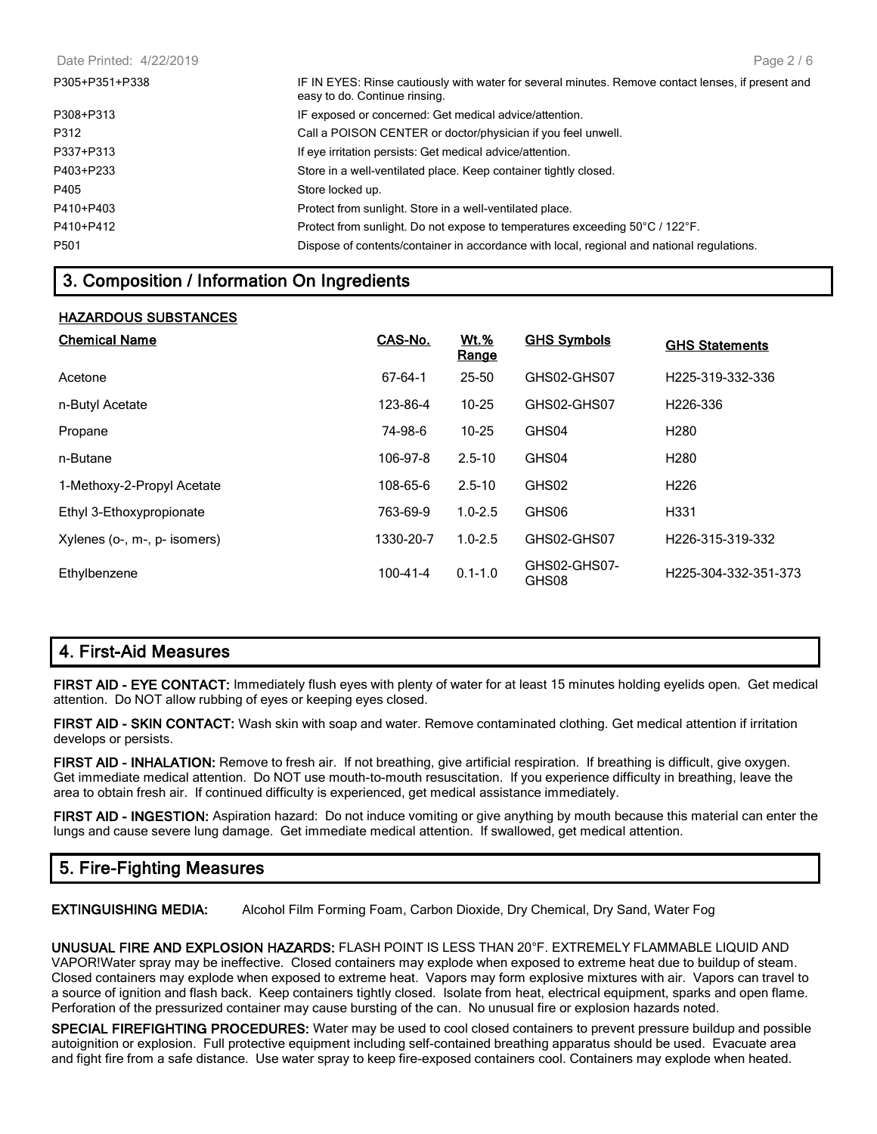| P305+P351+P338   | IF IN EYES: Rinse cautiously with water for several minutes. Remove contact lenses, if present and<br>easy to do. Continue rinsing. |
|------------------|-------------------------------------------------------------------------------------------------------------------------------------|
| P308+P313        | IF exposed or concerned: Get medical advice/attention.                                                                              |
| P312             | Call a POISON CENTER or doctor/physician if you feel unwell.                                                                        |
| P337+P313        | If eye irritation persists: Get medical advice/attention.                                                                           |
| P403+P233        | Store in a well-ventilated place. Keep container tightly closed.                                                                    |
| P405             | Store locked up.                                                                                                                    |
| P410+P403        | Protect from sunlight. Store in a well-ventilated place.                                                                            |
| P410+P412        | Protect from sunlight. Do not expose to temperatures exceeding 50°C / 122°F.                                                        |
| P <sub>501</sub> | Dispose of contents/container in accordance with local, regional and national regulations.                                          |
|                  |                                                                                                                                     |

## **3. Composition / Information On Ingredients**

#### **HAZARDOUS SUBSTANCES**

| <b>Chemical Name</b>         | CAS-No.        | <u>Wt.%</u><br><u>Range</u> | <b>GHS Symbols</b>    | <b>GHS Statements</b>         |
|------------------------------|----------------|-----------------------------|-----------------------|-------------------------------|
| Acetone                      | 67-64-1        | 25-50                       | GHS02-GHS07           | H <sub>225</sub> -319-332-336 |
| n-Butyl Acetate              | 123-86-4       | $10 - 25$                   | GHS02-GHS07           | H <sub>226</sub> -336         |
| Propane                      | 74-98-6        | $10 - 25$                   | GHS04                 | H <sub>280</sub>              |
| n-Butane                     | 106-97-8       | $2.5 - 10$                  | GHS04                 | H <sub>280</sub>              |
| 1-Methoxy-2-Propyl Acetate   | 108-65-6       | $2.5 - 10$                  | GHS02                 | H <sub>226</sub>              |
| Ethyl 3-Ethoxypropionate     | 763-69-9       | $1.0 - 2.5$                 | GHS06                 | H331                          |
| Xylenes (o-, m-, p- isomers) | 1330-20-7      | $1.0 - 2.5$                 | GHS02-GHS07           | H226-315-319-332              |
| Ethylbenzene                 | $100 - 41 - 4$ | $0.1 - 1.0$                 | GHS02-GHS07-<br>GHS08 | H225-304-332-351-373          |

## **4. First-Aid Measures**

**FIRST AID - EYE CONTACT:** Immediately flush eyes with plenty of water for at least 15 minutes holding eyelids open. Get medical attention. Do NOT allow rubbing of eyes or keeping eyes closed.

**FIRST AID - SKIN CONTACT:** Wash skin with soap and water. Remove contaminated clothing. Get medical attention if irritation develops or persists.

**FIRST AID - INHALATION:** Remove to fresh air. If not breathing, give artificial respiration. If breathing is difficult, give oxygen. Get immediate medical attention. Do NOT use mouth-to-mouth resuscitation. If you experience difficulty in breathing, leave the area to obtain fresh air. If continued difficulty is experienced, get medical assistance immediately.

**FIRST AID - INGESTION:** Aspiration hazard: Do not induce vomiting or give anything by mouth because this material can enter the lungs and cause severe lung damage. Get immediate medical attention. If swallowed, get medical attention.

## **5. Fire-Fighting Measures**

**EXTINGUISHING MEDIA:** Alcohol Film Forming Foam, Carbon Dioxide, Dry Chemical, Dry Sand, Water Fog

**UNUSUAL FIRE AND EXPLOSION HAZARDS:** FLASH POINT IS LESS THAN 20°F. EXTREMELY FLAMMABLE LIQUID AND VAPOR!Water spray may be ineffective. Closed containers may explode when exposed to extreme heat due to buildup of steam. Closed containers may explode when exposed to extreme heat. Vapors may form explosive mixtures with air. Vapors can travel to a source of ignition and flash back. Keep containers tightly closed. Isolate from heat, electrical equipment, sparks and open flame. Perforation of the pressurized container may cause bursting of the can. No unusual fire or explosion hazards noted.

**SPECIAL FIREFIGHTING PROCEDURES:** Water may be used to cool closed containers to prevent pressure buildup and possible autoignition or explosion. Full protective equipment including self-contained breathing apparatus should be used. Evacuate area and fight fire from a safe distance. Use water spray to keep fire-exposed containers cool. Containers may explode when heated.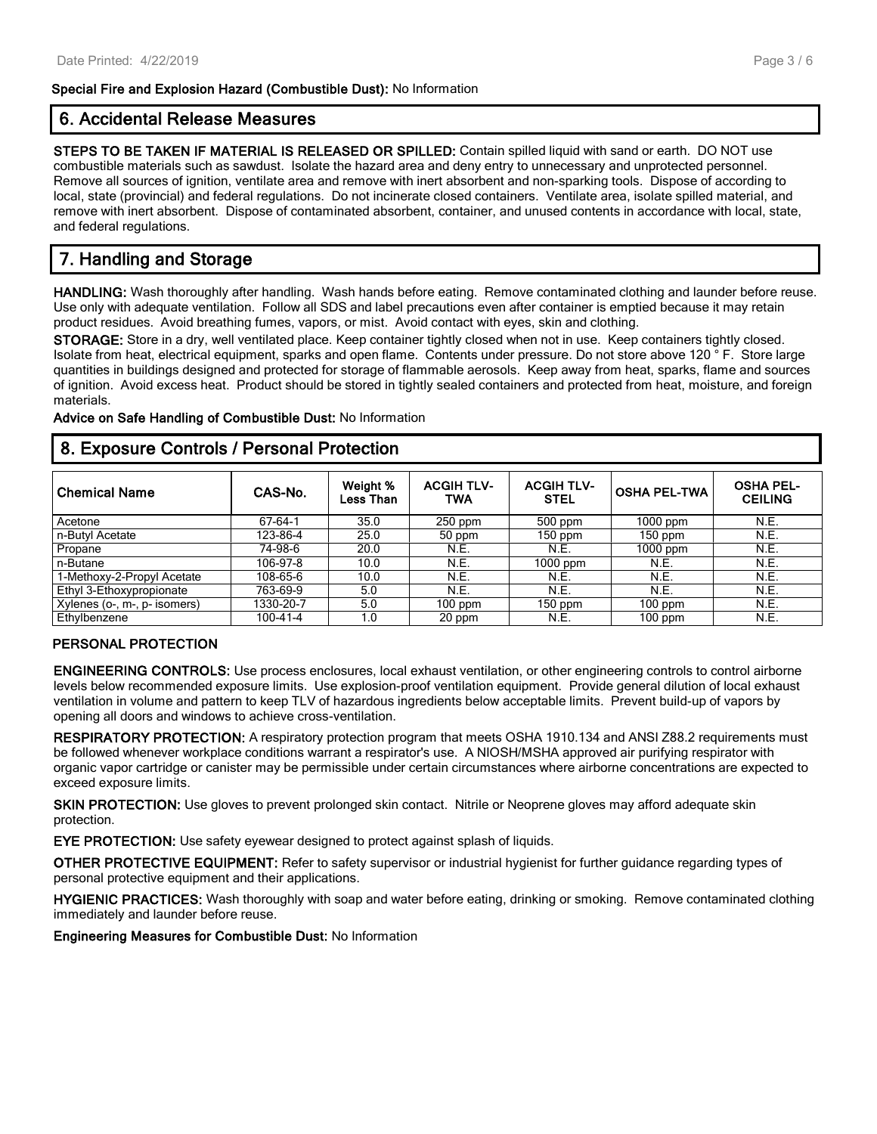#### **Special Fire and Explosion Hazard (Combustible Dust):** No Information

## **6. Accidental Release Measures**

**STEPS TO BE TAKEN IF MATERIAL IS RELEASED OR SPILLED:** Contain spilled liquid with sand or earth. DO NOT use combustible materials such as sawdust. Isolate the hazard area and deny entry to unnecessary and unprotected personnel. Remove all sources of ignition, ventilate area and remove with inert absorbent and non-sparking tools. Dispose of according to local, state (provincial) and federal regulations. Do not incinerate closed containers. Ventilate area, isolate spilled material, and remove with inert absorbent. Dispose of contaminated absorbent, container, and unused contents in accordance with local, state, and federal regulations.

# **7. Handling and Storage**

**HANDLING:** Wash thoroughly after handling. Wash hands before eating. Remove contaminated clothing and launder before reuse. Use only with adequate ventilation. Follow all SDS and label precautions even after container is emptied because it may retain product residues. Avoid breathing fumes, vapors, or mist. Avoid contact with eyes, skin and clothing.

**STORAGE:** Store in a dry, well ventilated place. Keep container tightly closed when not in use. Keep containers tightly closed. Isolate from heat, electrical equipment, sparks and open flame. Contents under pressure. Do not store above 120 ° F. Store large quantities in buildings designed and protected for storage of flammable aerosols. Keep away from heat, sparks, flame and sources of ignition. Avoid excess heat. Product should be stored in tightly sealed containers and protected from heat, moisture, and foreign materials.

**Advice on Safe Handling of Combustible Dust:** No Information

### **8. Exposure Controls / Personal Protection**

| <b>Chemical Name</b>         | CAS-No.   | Weight %<br>Less Than | <b>ACGIH TLV-</b><br>TWA | <b>ACGIH TLV-</b><br><b>STEL</b> | <b>OSHA PEL-TWA</b> | <b>OSHA PEL-</b><br><b>CEILING</b> |
|------------------------------|-----------|-----------------------|--------------------------|----------------------------------|---------------------|------------------------------------|
| Acetone                      | 67-64-1   | 35.0                  | $250$ ppm                | $500$ ppm                        | 1000 ppm            | N.E.                               |
| n-Butvl Acetate              | 123-86-4  | 25.0                  | 50 ppm                   | $150$ ppm                        | $150$ ppm           | N.E.                               |
| Propane                      | 74-98-6   | 20.0                  | N.E.                     | N.E.                             | $1000$ ppm          | N.E.                               |
| n-Butane                     | 106-97-8  | 10.0                  | N.E.                     | $1000$ ppm                       | N.E.                | N.E.                               |
| 1-Methoxy-2-Propyl Acetate   | 108-65-6  | 10.0                  | <b>N.E.</b>              | N.E.                             | N.E.                | N.E.                               |
| Ethyl 3-Ethoxypropionate     | 763-69-9  | 5.0                   | N.E.                     | N.E.                             | N.E.                | N.E.                               |
| Xylenes (o-, m-, p- isomers) | 1330-20-7 | 5.0                   | $100$ ppm                | $150$ ppm                        | $100$ ppm           | N.E.                               |
| Ethylbenzene                 | 100-41-4  | 1.0                   | 20 ppm                   | N.E.                             | $100$ ppm           | N.E.                               |

#### **PERSONAL PROTECTION**

**ENGINEERING CONTROLS:** Use process enclosures, local exhaust ventilation, or other engineering controls to control airborne levels below recommended exposure limits. Use explosion-proof ventilation equipment. Provide general dilution of local exhaust ventilation in volume and pattern to keep TLV of hazardous ingredients below acceptable limits. Prevent build-up of vapors by opening all doors and windows to achieve cross-ventilation.

**RESPIRATORY PROTECTION:** A respiratory protection program that meets OSHA 1910.134 and ANSI Z88.2 requirements must be followed whenever workplace conditions warrant a respirator's use. A NIOSH/MSHA approved air purifying respirator with organic vapor cartridge or canister may be permissible under certain circumstances where airborne concentrations are expected to exceed exposure limits.

**SKIN PROTECTION:** Use gloves to prevent prolonged skin contact. Nitrile or Neoprene gloves may afford adequate skin protection.

**EYE PROTECTION:** Use safety eyewear designed to protect against splash of liquids.

**OTHER PROTECTIVE EQUIPMENT:** Refer to safety supervisor or industrial hygienist for further guidance regarding types of personal protective equipment and their applications.

**HYGIENIC PRACTICES:** Wash thoroughly with soap and water before eating, drinking or smoking. Remove contaminated clothing immediately and launder before reuse.

**Engineering Measures for Combustible Dust:** No Information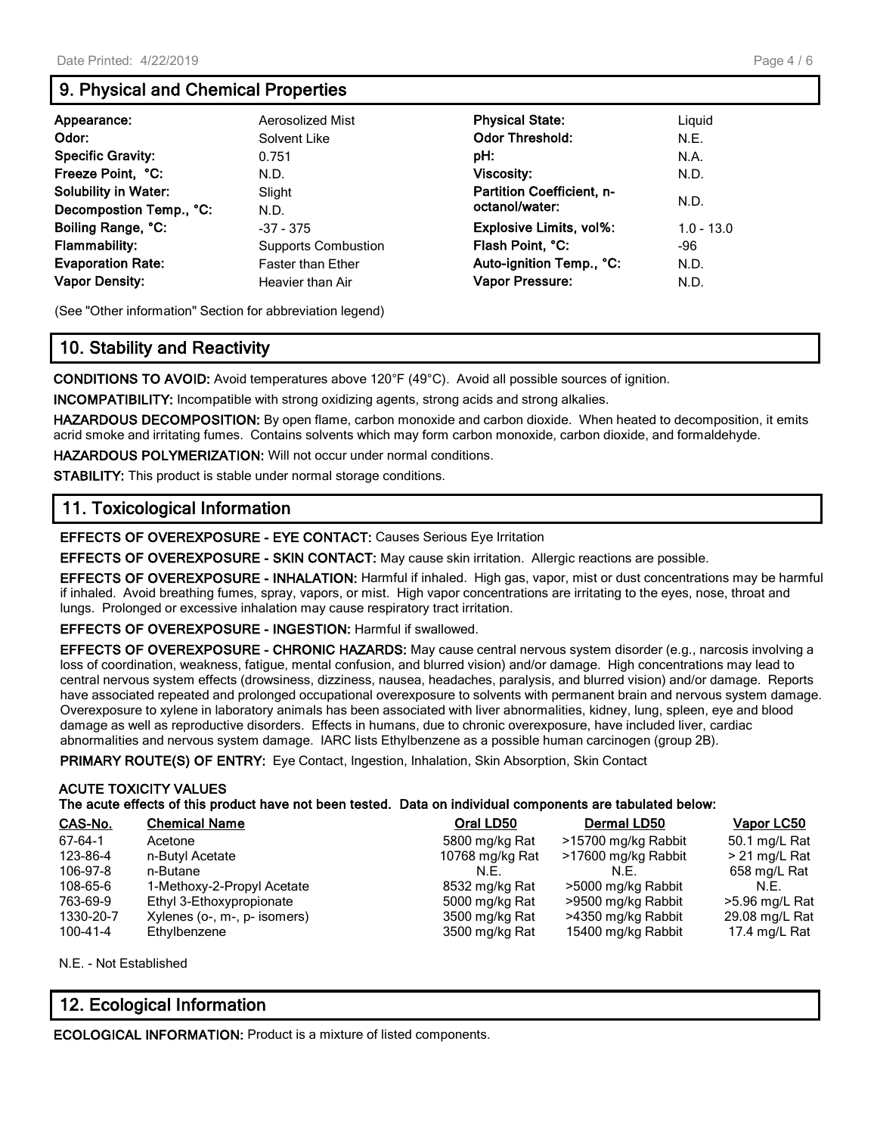## **9. Physical and Chemical Properties**

| Appearance:                                                                                                                | Aerosolized Mist                                                                                  | <b>Physical State:</b>                                                                                       | Liguid                              |
|----------------------------------------------------------------------------------------------------------------------------|---------------------------------------------------------------------------------------------------|--------------------------------------------------------------------------------------------------------------|-------------------------------------|
| Odor:                                                                                                                      | Solvent Like                                                                                      | <b>Odor Threshold:</b>                                                                                       | N.E.                                |
| <b>Specific Gravity:</b>                                                                                                   | 0.751                                                                                             | pH:                                                                                                          | N.A.                                |
| Freeze Point, °C:                                                                                                          | N.D.                                                                                              | <b>Viscosity:</b>                                                                                            | N.D.                                |
| <b>Solubility in Water:</b>                                                                                                | Slight                                                                                            | Partition Coefficient, n-                                                                                    | N.D.                                |
| Decompostion Temp., °C:<br>Boiling Range, °C:<br><b>Flammability:</b><br><b>Evaporation Rate:</b><br><b>Vapor Density:</b> | N.D.<br>$-37 - 375$<br><b>Supports Combustion</b><br><b>Faster than Ether</b><br>Heavier than Air | octanol/water:<br>Explosive Limits, vol%:<br>Flash Point, °C:<br>Auto-ignition Temp., °C:<br>Vapor Pressure: | $1.0 - 13.0$<br>-96<br>N.D.<br>N.D. |

(See "Other information" Section for abbreviation legend)

## **10. Stability and Reactivity**

**CONDITIONS TO AVOID:** Avoid temperatures above 120°F (49°C). Avoid all possible sources of ignition.

**INCOMPATIBILITY:** Incompatible with strong oxidizing agents, strong acids and strong alkalies.

**HAZARDOUS DECOMPOSITION:** By open flame, carbon monoxide and carbon dioxide. When heated to decomposition, it emits acrid smoke and irritating fumes. Contains solvents which may form carbon monoxide, carbon dioxide, and formaldehyde.

**HAZARDOUS POLYMERIZATION:** Will not occur under normal conditions.

**STABILITY:** This product is stable under normal storage conditions.

## **11. Toxicological Information**

**EFFECTS OF OVEREXPOSURE - EYE CONTACT:** Causes Serious Eye Irritation

**EFFECTS OF OVEREXPOSURE - SKIN CONTACT:** May cause skin irritation. Allergic reactions are possible.

**EFFECTS OF OVEREXPOSURE - INHALATION:** Harmful if inhaled. High gas, vapor, mist or dust concentrations may be harmful if inhaled. Avoid breathing fumes, spray, vapors, or mist. High vapor concentrations are irritating to the eyes, nose, throat and lungs. Prolonged or excessive inhalation may cause respiratory tract irritation.

**EFFECTS OF OVEREXPOSURE - INGESTION:** Harmful if swallowed.

**EFFECTS OF OVEREXPOSURE - CHRONIC HAZARDS:** May cause central nervous system disorder (e.g., narcosis involving a loss of coordination, weakness, fatigue, mental confusion, and blurred vision) and/or damage. High concentrations may lead to central nervous system effects (drowsiness, dizziness, nausea, headaches, paralysis, and blurred vision) and/or damage. Reports have associated repeated and prolonged occupational overexposure to solvents with permanent brain and nervous system damage. Overexposure to xylene in laboratory animals has been associated with liver abnormalities, kidney, lung, spleen, eye and blood damage as well as reproductive disorders. Effects in humans, due to chronic overexposure, have included liver, cardiac abnormalities and nervous system damage. IARC lists Ethylbenzene as a possible human carcinogen (group 2B).

**PRIMARY ROUTE(S) OF ENTRY:** Eye Contact, Ingestion, Inhalation, Skin Absorption, Skin Contact

# **ACUTE TOXICITY VALUES**

#### **The acute effects of this product have not been tested. Data on individual components are tabulated below:**

| CAS-No.   | <b>Chemical Name</b>         | Oral LD50       | Dermal LD50         | <b>Vapor LC50</b> |
|-----------|------------------------------|-----------------|---------------------|-------------------|
| 67-64-1   | Acetone                      | 5800 mg/kg Rat  | >15700 mg/kg Rabbit | 50.1 mg/L Rat     |
| 123-86-4  | n-Butyl Acetate              | 10768 mg/kg Rat | >17600 mg/kg Rabbit | $> 21$ mg/L Rat   |
| 106-97-8  | n-Butane                     | N.E.            | N.F.                | 658 mg/L Rat      |
| 108-65-6  | 1-Methoxy-2-Propyl Acetate   | 8532 mg/kg Rat  | >5000 mg/kg Rabbit  | N.E.              |
| 763-69-9  | Ethyl 3-Ethoxypropionate     | 5000 mg/kg Rat  | >9500 mg/kg Rabbit  | >5.96 mg/L Rat    |
| 1330-20-7 | Xylenes (o-, m-, p- isomers) | 3500 mg/kg Rat  | >4350 mg/kg Rabbit  | 29.08 mg/L Rat    |
| 100-41-4  | Ethylbenzene                 | 3500 mg/kg Rat  | 15400 mg/kg Rabbit  | 17.4 mg/L Rat     |

N.E. - Not Established

## **12. Ecological Information**

**ECOLOGICAL INFORMATION:** Product is a mixture of listed components.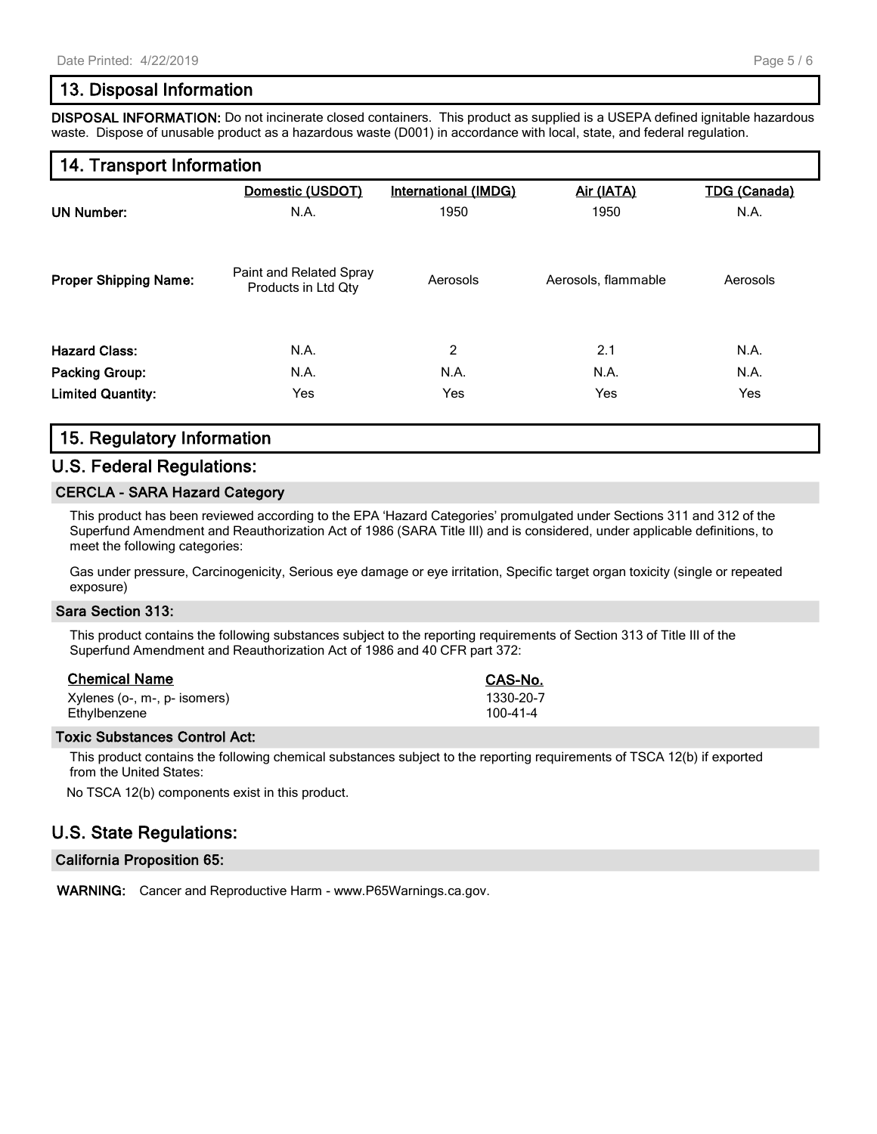## **13. Disposal Information**

**DISPOSAL INFORMATION:** Do not incinerate closed containers. This product as supplied is a USEPA defined ignitable hazardous waste. Dispose of unusable product as a hazardous waste (D001) in accordance with local, state, and federal regulation.

## **14. Transport Information**

|                              | Domestic (USDOT)                               | <b>International (IMDG)</b> | Air (IATA)          | <b>TDG (Canada)</b> |
|------------------------------|------------------------------------------------|-----------------------------|---------------------|---------------------|
| <b>UN Number:</b>            | N.A.                                           | 1950                        | 1950                | N.A.                |
| <b>Proper Shipping Name:</b> | Paint and Related Spray<br>Products in Ltd Qty | Aerosols                    | Aerosols, flammable | Aerosols            |
| <b>Hazard Class:</b>         | N.A.                                           | 2                           | 2.1                 | N.A.                |
| <b>Packing Group:</b>        | N.A.                                           | N.A.                        | N.A.                | N.A.                |
| <b>Limited Quantity:</b>     | Yes                                            | Yes                         | Yes                 | Yes                 |

## **15. Regulatory Information**

### **U.S. Federal Regulations:**

#### **CERCLA - SARA Hazard Category**

This product has been reviewed according to the EPA 'Hazard Categories' promulgated under Sections 311 and 312 of the Superfund Amendment and Reauthorization Act of 1986 (SARA Title III) and is considered, under applicable definitions, to meet the following categories:

Gas under pressure, Carcinogenicity, Serious eye damage or eye irritation, Specific target organ toxicity (single or repeated exposure)

#### **Sara Section 313:**

This product contains the following substances subject to the reporting requirements of Section 313 of Title III of the Superfund Amendment and Reauthorization Act of 1986 and 40 CFR part 372:

| <b>Chemical Name</b>         | CAS-No.        |
|------------------------------|----------------|
| Xylenes (o-, m-, p- isomers) | 1330-20-7      |
| Ethylbenzene                 | $100 - 41 - 4$ |

#### **Toxic Substances Control Act:**

This product contains the following chemical substances subject to the reporting requirements of TSCA 12(b) if exported from the United States:

No TSCA 12(b) components exist in this product.

### **U.S. State Regulations:**

#### **California Proposition 65:**

**WARNING:** Cancer and Reproductive Harm - www.P65Warnings.ca.gov.